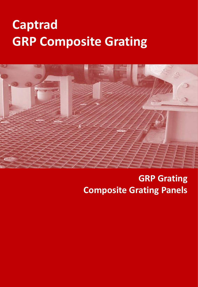## **Captrad GRP Composite Grating**



## **GRP Grating Composite Grating Panels**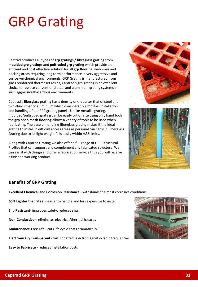# GRP Grating

Captrad produces all types of **grp gratings / fibreglass grating** from **moulded grp gratings** and **pultruded grp grating** which provide an efficient and cost effective solution for all **grp flooring**, walkways and decking areas requiring long term performance in very aggressive and corrosive/chemical environments. GRP Grating is manufactured from glass reinforced thermoset resins, Captrad's grp grating is an excellent choice to replace conventional steel and aluminium grating systems in such aggressive/hazardous environments.

Captrad's **fiberglass grating** has a density one-quarter that of steel and two-thirds that of aluminium which considerably simplifies installation and handling of our FRP grating panels. Unlike metallic grating, moulded/pultruded grating can be easily cut on site using only hand tools, the **grp open mesh flooring** allows a variety of tools to be used when fabricating. The ease of handling fiberglass grating makes it the ideal grating to install in difficult access areas as personal can carry it. Fiberglass Grating due to its light weight falls easily within H&S limits.

Along with Captrad Grating we also offer a full range of GRP Structural Profiles that can support and complement any fabricated structure. We can assist with design and offer a fabrication service thus you will receive a finished working product.

![](_page_1_Picture_4.jpeg)

![](_page_1_Picture_5.jpeg)

#### **Benefits of GRP Grating**

**Excellent Chemical and Corrosion Resistance** - withstands the most corrosive conditions

**65% Lighter than Steel** - easier to handle and less expensive to install

**Slip Resistant**- improves safety, reduces slips

**Non-Conductive** – eliminates electrical/thermal hazards

**Maintenance-Free Life** - cuts life cycle costs dramatically

**Electronically Transparent** - will not affect electromagnetic/radio frequencies

**Easy to Fabricate** - reduces installation costs

![](_page_1_Picture_14.jpeg)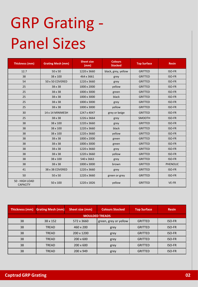# GRP Grating - Panel Sizes

| Thickness (mm)                    | <b>Grating Mesh (mm)</b> | <b>Sheet size</b><br>(mm) | <b>Colours</b><br><b>Stocked</b> | <b>Top Surface</b> | <b>Resin</b>    |
|-----------------------------------|--------------------------|---------------------------|----------------------------------|--------------------|-----------------|
| 12.7                              | 50 x 50                  | 1220 x 3660               | black, grey, yellow              | <b>GRITTED</b>     | ISO-FR          |
| 38                                | 38 x 100                 | 464 x 3661                | grey                             | <b>GRITTED</b>     | ISO-FR          |
| 54                                | 50 x 50 COVERED          | 1220 x 3660               | grey                             | <b>GRITTED</b>     | ISO-FR          |
| 25                                | 38 x 38                  | 1000 x 2000               | yellow                           | <b>GRITTED</b>     | ISO-FR          |
| 25                                | 38 x 38                  | 1000 x 3000               | green                            | <b>GRITTED</b>     | ISO-FR          |
| 25                                | 38 x 38                  | 1000 x 3000               | black                            | <b>GRITTED</b>     | ISO-FR          |
| 25                                | 38 x 38                  | 1000 x 3000               | grey                             | <b>GRITTED</b>     | ISO-FR          |
| 25                                | 38 x 38                  | 1000 x 3000               | yellow                           | <b>GRITTED</b>     | ISO-FR          |
| 30                                | 14 x 14 MINIMESH         | 1247 x 4047               | grey or beige                    | <b>GRITTED</b>     | ISO-FR          |
| 25                                | 38 x 38                  | 1226 x 3664               | grey                             | <b>SMOOTH</b>      | ISO-FR          |
| 38                                | 38 x 100                 | 1220 x 3660               | grey                             | <b>GRITTED</b>     | ISO-FR          |
| 38                                | 38 x 100                 | 1220 x 3660               | black                            | <b>GRITTED</b>     | ISO-FR          |
| 38                                | 38 x 100                 | 1220 x 3660               | yellow                           | <b>GRITTED</b>     | ISO-FR          |
| 38                                | 38 x 38                  | 1000 x 2000               | green                            | <b>GRITTED</b>     | ISO-FR          |
| 38                                | 38 x 38                  | 1000 x 3000               | green                            | <b>GRITTED</b>     | ISO-FR          |
| 38                                | 38 x 38                  | 1220 x 3660               | grey                             | <b>GRITTED</b>     | ISO-FR          |
| 38                                | 38 x 38                  | 1220 x 3660               | yellow                           | <b>GRITTED</b>     | ISO-FR          |
| 38                                | 38 x 100                 | 540 x 3663                | grey                             | <b>GRITTED</b>     | ISO-FR          |
| 38                                | 38 x 38                  | 1000 x 3000               | brown                            | <b>GRITTED</b>     | <b>PHENOLIC</b> |
| 41                                | 38 x 38 COVERED          | 1220 x 3660               | grey                             | <b>GRITTED</b>     | ISO-FR          |
| 50                                | 50 x 50                  | 1220 x 3660               | green or grey                    | <b>GRITTED</b>     | ISO-FR          |
| 50 - HIGH LOAD<br><b>CAPACITY</b> | 50 x 100                 | 1220 x 1826               | yellow                           | <b>GRITTED</b>     | VE-FR           |

| Thickness (mm)        | <b>Grating Mesh (mm)</b> | Sheet size (mm)  | <b>Colours Stocked</b> | <b>Top Surface</b> | <b>Resin</b>  |  |  |
|-----------------------|--------------------------|------------------|------------------------|--------------------|---------------|--|--|
| <b>MOULDED TREADS</b> |                          |                  |                        |                    |               |  |  |
| 38                    | 38 x 152                 | 572 x 3660       | green, grey or yellow  | <b>GRITTED</b>     | <b>ISO-FR</b> |  |  |
| 38                    | <b>TREAD</b>             | 460 x 200        | grey                   | <b>GRITTED</b>     | <b>ISO-FR</b> |  |  |
| 38                    | <b>TREAD</b>             | 200 x 1200       | grey                   | <b>GRITTED</b>     | <b>ISO-FR</b> |  |  |
| 38                    | <b>TREAD</b>             | $200 \times 600$ | grey                   | <b>GRITTED</b>     | <b>ISO-FR</b> |  |  |
| 38                    | <b>TREAD</b>             | $200 \times 600$ | grey                   | <b>GRITTED</b>     | <b>ISO-FR</b> |  |  |
| 38                    | <b>TREAD</b>             | 200 x 949        | grey                   | <b>GRITTED</b>     | <b>ISO-FR</b> |  |  |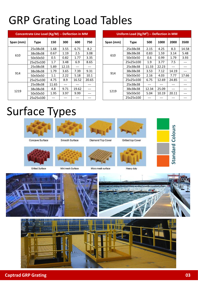## GRP Grating Load Tables

| Concentrate Line Load (Kg/M) -- Deflection in MM |             |       |       |       |       |
|--------------------------------------------------|-------------|-------|-------|-------|-------|
| Span (mm)                                        | <b>Type</b> | 150   | 300   | 600   | 750   |
| 610                                              | 25x38x38    | 1.68  | 3.55  | 6.71  | 8.2   |
|                                                  | 38x38x38    | 0.67  | 1.19  | 2.5   | 3.08  |
|                                                  | 50x50x50    | 0.5   | 0.82  | 1.77  | 3.35  |
|                                                  | 25x25x100   | 1.7   | 3.48  | 6.9   | 8.65  |
|                                                  | 25x38x38    | 5.89  | 12.15 |       |       |
| 914                                              | 38x38x38    | 1.79  | 3.65  | 7.39  | 9.31  |
|                                                  | 50x50x50    | 1.1   | 2.22  | 5.18  | 10.1  |
|                                                  | 25x25x100   | 4.75  | 8.9   | 16.52 | 20.65 |
| 1219                                             | 25x38x38    | 11.65 |       |       |       |
|                                                  | 38x38x38    | 4.8   | 9.71  | 19.62 |       |
|                                                  | 50x50x50    | 1.95  | 3.97  | 9.99  |       |
|                                                  | 25x25x100   |       |       |       |       |

| Uniform Load ( $\text{Kg}/\text{M}^2$ ) -- Deflection in MM |             |       |       |       |       |
|-------------------------------------------------------------|-------------|-------|-------|-------|-------|
| Span (mm)                                                   | <b>Type</b> | 500   | 1000  | 2000  | 3500  |
| 610                                                         | 25x38x38    | 2.15  | 4.25  | 8.3   | 14.58 |
|                                                             | 38x38x38    | 0.83  | 1.59  | 3.14  | 5.48  |
|                                                             | 50x50x50    | 0.6   | 0.99  | 1.79  | 3.93  |
|                                                             | 25x25x100   | 1.9   | 3.77  | 7.5   |       |
|                                                             | 25x38x38    | 11.33 | 22.23 |       |       |
|                                                             | 38x38x38    | 3.53  | 7.12  | 14.19 |       |
| 914                                                         | 50x50x50    | 2.16  | 4.03  | 7.77  | 17.66 |
|                                                             | 25x25x100   | 6.75  | 12.69 | 24.85 |       |
| 1219                                                        | 25x38x38    |       |       |       |       |
|                                                             | 38x38x38    | 12.34 | 25.09 |       |       |
|                                                             | 50x50x50    | 5.04  | 10.19 | 20.11 |       |
|                                                             | 25x25x100   |       |       |       |       |

## Surface Types

![](_page_3_Picture_4.jpeg)

Concave Surface

![](_page_3_Picture_5.jpeg)

Smooth Surface

![](_page_3_Picture_6.jpeg)

![](_page_3_Picture_7.jpeg)

Gritted top Cover

![](_page_3_Picture_9.jpeg)

Gritted Surface

Mini mesh Surface

Micro mesh surface

Diamond Top Cover

Heavy duty

![](_page_3_Picture_14.jpeg)

![](_page_3_Picture_15.jpeg)

![](_page_3_Picture_16.jpeg)